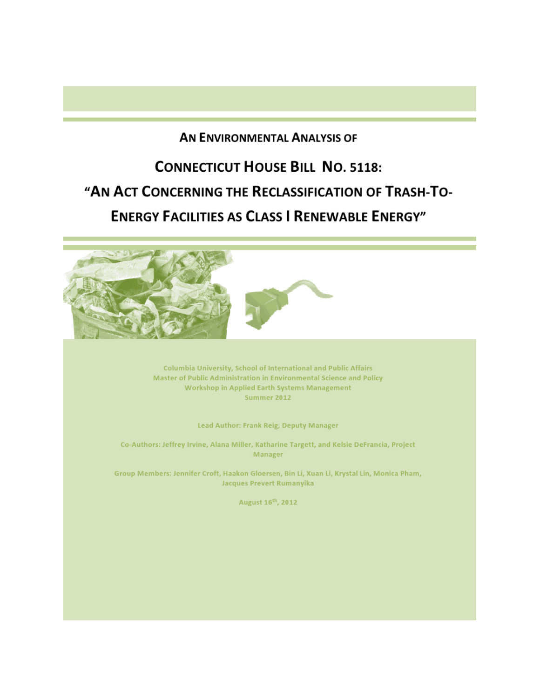# AN ENVIRONMENTAL ANALYSIS OF

# **CONNECTICUT HOUSE BILL NO. 5118:** "AN ACT CONCERNING THE RECLASSIFICATION OF TRASH-TO-**ENERGY FACILITIES AS CLASS I RENEWABLE ENERGY"**



Columbia University, School of International and Public Affairs Master of Public Administration in Environmental Science and Policy **Workshop in Applied Earth Systems Management** Summer 2012

Lead Author: Frank Reig, Deputy Manager

Co-Authors: Jeffrey Irvine, Alana Miller, Katharine Targett, and Kelsie DeFrancia, Project Manager

Group Members: Jennifer Croft, Haakon Gloersen, Bin Li, Xuan Li, Krystal Lin, Monica Pham, **Jacques Prevert Rumanyika** 

August 16<sup>th</sup>, 2012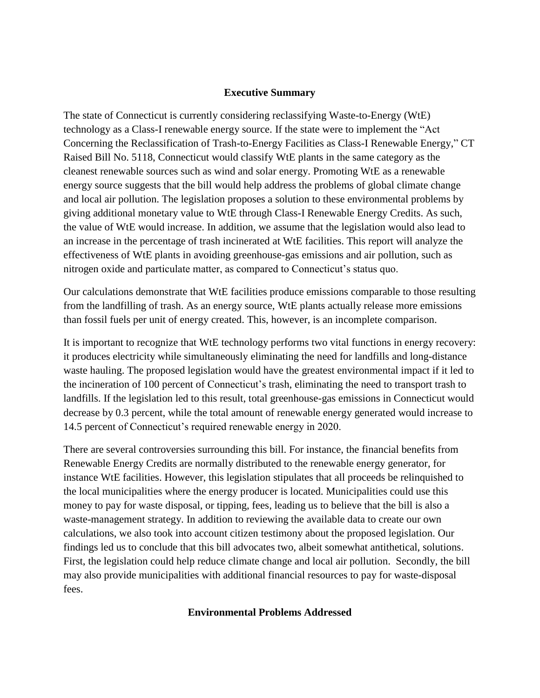## **Executive Summary**

The state of Connecticut is currently considering reclassifying Waste-to-Energy (WtE) technology as a Class-I renewable energy source. If the state were to implement the "Act Concerning the Reclassification of Trash-to-Energy Facilities as Class-I Renewable Energy," CT Raised Bill No. 5118, Connecticut would classify WtE plants in the same category as the cleanest renewable sources such as wind and solar energy. Promoting WtE as a renewable energy source suggests that the bill would help address the problems of global climate change and local air pollution. The legislation proposes a solution to these environmental problems by giving additional monetary value to WtE through Class-I Renewable Energy Credits. As such, the value of WtE would increase. In addition, we assume that the legislation would also lead to an increase in the percentage of trash incinerated at WtE facilities. This report will analyze the effectiveness of WtE plants in avoiding greenhouse-gas emissions and air pollution, such as nitrogen oxide and particulate matter, as compared to Connecticut's status quo.

Our calculations demonstrate that WtE facilities produce emissions comparable to those resulting from the landfilling of trash. As an energy source, WtE plants actually release more emissions than fossil fuels per unit of energy created. This, however, is an incomplete comparison.

It is important to recognize that WtE technology performs two vital functions in energy recovery: it produces electricity while simultaneously eliminating the need for landfills and long-distance waste hauling. The proposed legislation would have the greatest environmental impact if it led to the incineration of 100 percent of Connecticut's trash, eliminating the need to transport trash to landfills. If the legislation led to this result, total greenhouse-gas emissions in Connecticut would decrease by 0.3 percent, while the total amount of renewable energy generated would increase to 14.5 percent of Connecticut's required renewable energy in 2020.

There are several controversies surrounding this bill. For instance, the financial benefits from Renewable Energy Credits are normally distributed to the renewable energy generator, for instance WtE facilities. However, this legislation stipulates that all proceeds be relinquished to the local municipalities where the energy producer is located. Municipalities could use this money to pay for waste disposal, or tipping, fees, leading us to believe that the bill is also a waste-management strategy. In addition to reviewing the available data to create our own calculations, we also took into account citizen testimony about the proposed legislation. Our findings led us to conclude that this bill advocates two, albeit somewhat antithetical, solutions. First, the legislation could help reduce climate change and local air pollution. Secondly, the bill may also provide municipalities with additional financial resources to pay for waste-disposal fees.

#### **Environmental Problems Addressed**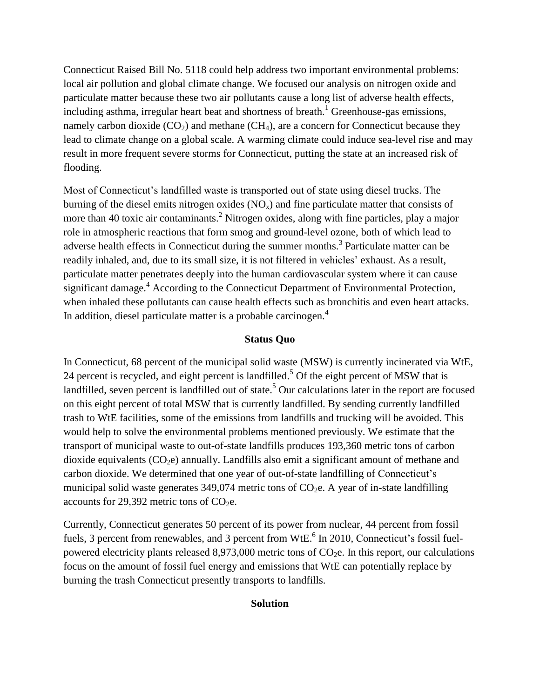Connecticut Raised Bill No. 5118 could help address two important environmental problems: local air pollution and global climate change. We focused our analysis on nitrogen oxide and particulate matter because these two air pollutants cause a long list of adverse health effects, including asthma, irregular heart beat and shortness of breath.<sup>1</sup> Greenhouse-gas emissions, namely carbon dioxide  $(CO_2)$  and methane  $(CH_4)$ , are a concern for Connecticut because they lead to climate change on a global scale. A warming climate could induce sea-level rise and may result in more frequent severe storms for Connecticut, putting the state at an increased risk of flooding.

Most of Connecticut's landfilled waste is transported out of state using diesel trucks. The burning of the diesel emits nitrogen oxides  $(NO<sub>x</sub>)$  and fine particulate matter that consists of more than 40 toxic air contaminants.<sup>2</sup> Nitrogen oxides, along with fine particles, play a major role in atmospheric reactions that form smog and ground-level ozone, both of which lead to adverse health effects in Connecticut during the summer months.<sup>3</sup> Particulate matter can be readily inhaled, and, due to its small size, it is not filtered in vehicles' exhaust. As a result, particulate matter penetrates deeply into the human cardiovascular system where it can cause significant damage.<sup>4</sup> According to the Connecticut Department of Environmental Protection, when inhaled these pollutants can cause health effects such as bronchitis and even heart attacks. In addition, diesel particulate matter is a probable carcinogen.<sup>4</sup>

## **Status Quo**

In Connecticut, 68 percent of the municipal solid waste (MSW) is currently incinerated via WtE, 24 percent is recycled, and eight percent is landfilled.<sup>5</sup> Of the eight percent of MSW that is landfilled, seven percent is landfilled out of state.<sup>5</sup> Our calculations later in the report are focused on this eight percent of total MSW that is currently landfilled. By sending currently landfilled trash to WtE facilities, some of the emissions from landfills and trucking will be avoided. This would help to solve the environmental problems mentioned previously. We estimate that the transport of municipal waste to out-of-state landfills produces 193,360 metric tons of carbon dioxide equivalents  $(CO<sub>2</sub>e)$  annually. Landfills also emit a significant amount of methane and carbon dioxide. We determined that one year of out-of-state landfilling of Connecticut's municipal solid waste generates  $349,074$  metric tons of  $CO<sub>2</sub>e$ . A year of in-state landfilling accounts for 29,392 metric tons of  $CO<sub>2</sub>e$ .

Currently, Connecticut generates 50 percent of its power from nuclear, 44 percent from fossil fuels, 3 percent from renewables, and 3 percent from  $WtE<sup>6</sup>$  In 2010, Connecticut's fossil fuelpowered electricity plants released  $8,973,000$  metric tons of  $CO<sub>2</sub>e$ . In this report, our calculations focus on the amount of fossil fuel energy and emissions that WtE can potentially replace by burning the trash Connecticut presently transports to landfills.

#### **Solution**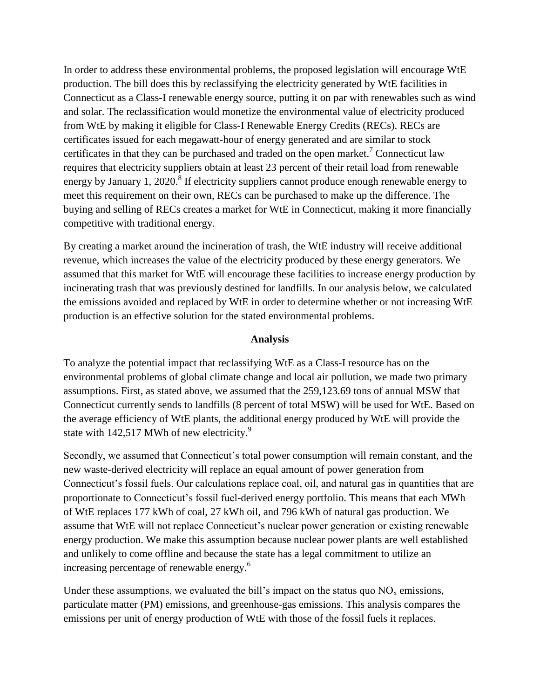In order to address these environmental problems, the proposed legislation will encourage WtE production. The bill does this by reclassifying the electricity generated by WtE facilities in Connecticut as a Class-I renewable energy source, putting it on par with renewables such as wind and solar. The reclassification would monetize the environmental value of electricity produced from WtE by making it eligible for Class-I Renewable Energy Credits (RECs). RECs are certificates issued for each megawatt-hour of energy generated and are similar to stock certificates in that they can be purchased and traded on the open market.<sup>7</sup> Connecticut law requires that electricity suppliers obtain at least 23 percent of their retail load from renewable energy by January 1, 2020.<sup>8</sup> If electricity suppliers cannot produce enough renewable energy to meet this requirement on their own, RECs can be purchased to make up the difference. The buying and selling of RECs creates a market for WtE in Connecticut, making it more financially competitive with traditional energy.

By creating a market around the incineration of trash, the WtE industry will receive additional revenue, which increases the value of the electricity produced by these energy generators. We assumed that this market for WtE will encourage these facilities to increase energy production by incinerating trash that was previously destined for landfills. In our analysis below, we calculated the emissions avoided and replaced by WtE in order to determine whether or not increasing WtE production is an effective solution for the stated environmental problems.

## **Analysis**

To analyze the potential impact that reclassifying WtE as a Class-I resource has on the environmental problems of global climate change and local air pollution, we made two primary assumptions. First, as stated above, we assumed that the 259,123.69 tons of annual MSW that Connecticut currently sends to landfills (8 percent of total MSW) will be used for WtE. Based on the average efficiency of WtE plants, the additional energy produced by WtE will provide the state with 142,517 MWh of new electricity.<sup>9</sup>

Secondly, we assumed that Connecticut's total power consumption will remain constant, and the new waste-derived electricity will replace an equal amount of power generation from Connecticut's fossil fuels. Our calculations replace coal, oil, and natural gas in quantities that are proportionate to Connecticut's fossil fuel-derived energy portfolio. This means that each MWh of WtE replaces 177 kWh of coal, 27 kWh oil, and 796 kWh of natural gas production. We assume that WtE will not replace Connecticut's nuclear power generation or existing renewable energy production. We make this assumption because nuclear power plants are well established and unlikely to come offline and because the state has a legal commitment to utilize an increasing percentage of renewable energy.<sup>6</sup>

Under these assumptions, we evaluated the bill's impact on the status quo  $NO<sub>x</sub>$  emissions, particulate matter (PM) emissions, and greenhouse-gas emissions. This analysis compares the emissions per unit of energy production of WtE with those of the fossil fuels it replaces.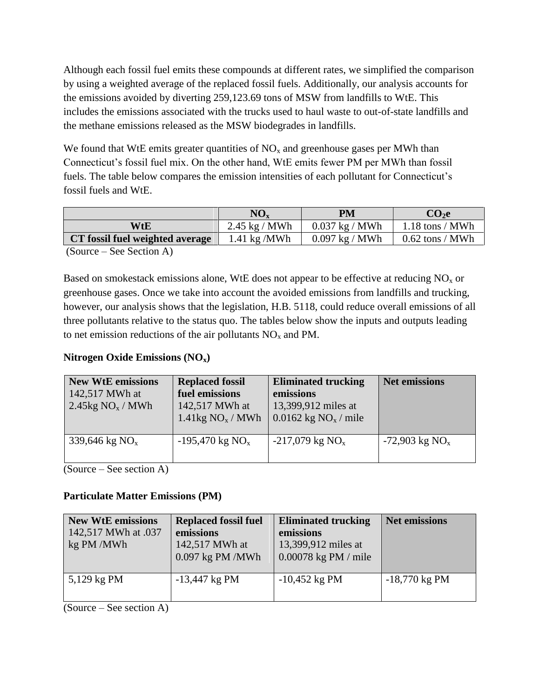Although each fossil fuel emits these compounds at different rates, we simplified the comparison by using a weighted average of the replaced fossil fuels. Additionally, our analysis accounts for the emissions avoided by diverting 259,123.69 tons of MSW from landfills to WtE. This includes the emissions associated with the trucks used to haul waste to out-of-state landfills and the methane emissions released as the MSW biodegrades in landfills.

We found that WtE emits greater quantities of  $NO<sub>x</sub>$  and greenhouse gases per MWh than Connecticut's fossil fuel mix. On the other hand, WtE emits fewer PM per MWh than fossil fuels. The table below compares the emission intensities of each pollutant for Connecticut's fossil fuels and WtE.

|                                 | $NO_{x}$                       | PM               | CO <sub>2</sub> e |
|---------------------------------|--------------------------------|------------------|-------------------|
| WtE                             | $2.45 \text{ kg} / \text{MWh}$ | $0.037$ kg / MWh | $1.18$ tons / MWh |
| CT fossil fuel weighted average | $1.41 \text{ kg} / \text{MWh}$ | $0.097$ kg / MWh | $0.62$ tons / MWh |

(Source – See Section A)

Based on smokestack emissions alone, WtE does not appear to be effective at reducing  $NO<sub>x</sub>$  or greenhouse gases. Once we take into account the avoided emissions from landfills and trucking, however, our analysis shows that the legislation, H.B. 5118, could reduce overall emissions of all three pollutants relative to the status quo. The tables below show the inputs and outputs leading to net emission reductions of the air pollutants  $NO<sub>x</sub>$  and PM.

# **Nitrogen Oxide Emissions (NOx)**

| <b>New WtE emissions</b><br>142,517 MWh at<br>2.45 $kg NO_x / MWh$ | <b>Replaced fossil</b><br>fuel emissions<br>142,517 MWh at<br>$1.41\text{kg NO}_x / \text{MWh}$ | <b>Eliminated trucking</b><br>emissions<br>13,399,912 miles at<br>$0.0162$ kg NO <sub>x</sub> / mile | <b>Net emissions</b>         |
|--------------------------------------------------------------------|-------------------------------------------------------------------------------------------------|------------------------------------------------------------------------------------------------------|------------------------------|
| 339,646 kg $NO_{x}$                                                | $-195,470 \text{ kg NO}_x$                                                                      | $-217,079$ kg NO <sub>x</sub>                                                                        | $-72,903$ kg NO <sub>x</sub> |

(Source – See section A)

# **Particulate Matter Emissions (PM)**

| <b>Replaced fossil fuel</b> | <b>Eliminated trucking</b> | <b>Net emissions</b> |
|-----------------------------|----------------------------|----------------------|
| emissions                   | emissions                  |                      |
| 142,517 MWh at              | 13,399,912 miles at        |                      |
| $0.097$ kg PM /MWh          | $0.00078$ kg PM / mile     |                      |
|                             |                            |                      |
| $-13,447$ kg PM             | $-10,452$ kg PM            | $-18,770$ kg PM      |
|                             |                            |                      |
|                             |                            |                      |

(Source – See section A)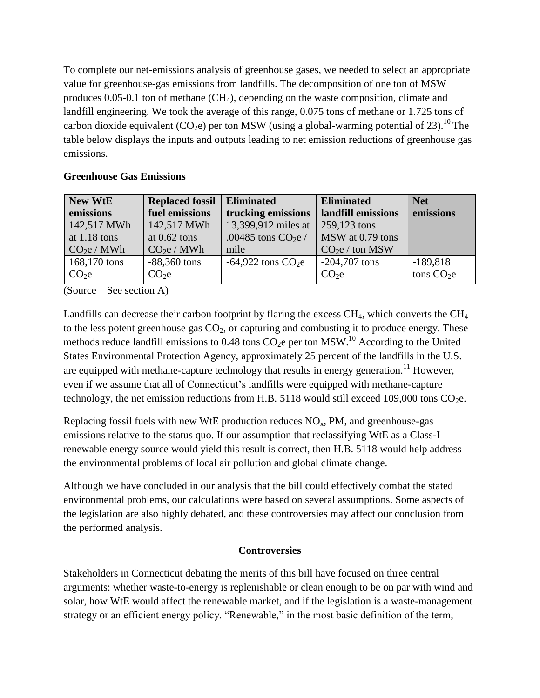To complete our net-emissions analysis of greenhouse gases, we needed to select an appropriate value for greenhouse-gas emissions from landfills. The decomposition of one ton of MSW produces 0.05-0.1 ton of methane  $(CH<sub>4</sub>)$ , depending on the waste composition, climate and landfill engineering. We took the average of this range, 0.075 tons of methane or 1.725 tons of carbon dioxide equivalent (CO<sub>2</sub>e) per ton MSW (using a global-warming potential of 23).<sup>10</sup> The table below displays the inputs and outputs leading to net emission reductions of greenhouse gas emissions.

# **Greenhouse Gas Emissions**

| <b>New WtE</b>        | <b>Replaced fossil</b> | <b>Eliminated</b>     | <b>Eliminated</b>  | <b>Net</b>  |
|-----------------------|------------------------|-----------------------|--------------------|-------------|
| emissions             | fuel emissions         | trucking emissions    | landfill emissions | emissions   |
| 142,517 MWh           | 142,517 MWh            | 13,399,912 miles at   | 259,123 tons       |             |
| at $1.18$ tons        | at $0.62$ tons         | .00485 tons $CO2e/$   | MSW at 0.79 tons   |             |
| CO <sub>2</sub> e/MWh | CO <sub>2</sub> e/MWh  | mile                  | $CO2e /$ ton MSW   |             |
| 168,170 tons          | $-88,360$ tons         | $-64,922$ tons $CO2e$ | $-204,707$ tons    | $-189,818$  |
| CO <sub>2</sub>       | $CO2$ e                |                       | $CO2$ e            | tons $CO2e$ |

(Source – See section A)

Landfills can decrease their carbon footprint by flaring the excess  $CH_4$ , which converts the  $CH_4$ to the less potent greenhouse gas  $CO<sub>2</sub>$ , or capturing and combusting it to produce energy. These methods reduce landfill emissions to 0.48 tons  $CO<sub>2</sub>e$  per ton MSW.<sup>10</sup> According to the United States Environmental Protection Agency, approximately 25 percent of the landfills in the U.S. are equipped with methane-capture technology that results in energy generation.<sup>11</sup> However, even if we assume that all of Connecticut's landfills were equipped with methane-capture technology, the net emission reductions from H.B. 5118 would still exceed 109,000 tons  $CO<sub>2</sub>e$ .

Replacing fossil fuels with new WtE production reduces  $NO<sub>x</sub>$ , PM, and greenhouse-gas emissions relative to the status quo. If our assumption that reclassifying WtE as a Class-I renewable energy source would yield this result is correct, then H.B. 5118 would help address the environmental problems of local air pollution and global climate change.

Although we have concluded in our analysis that the bill could effectively combat the stated environmental problems, our calculations were based on several assumptions. Some aspects of the legislation are also highly debated, and these controversies may affect our conclusion from the performed analysis.

# **Controversies**

Stakeholders in Connecticut debating the merits of this bill have focused on three central arguments: whether waste-to-energy is replenishable or clean enough to be on par with wind and solar, how WtE would affect the renewable market, and if the legislation is a waste-management strategy or an efficient energy policy. "Renewable," in the most basic definition of the term,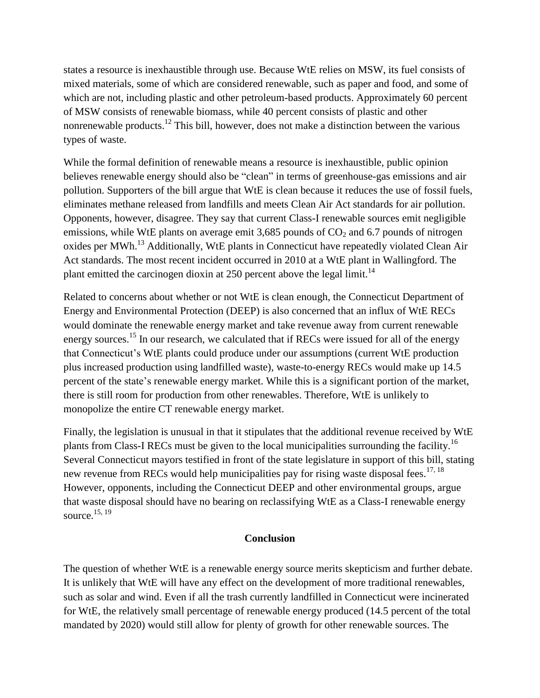states a resource is inexhaustible through use. Because WtE relies on MSW, its fuel consists of mixed materials, some of which are considered renewable, such as paper and food, and some of which are not, including plastic and other petroleum-based products. Approximately 60 percent of MSW consists of renewable biomass, while 40 percent consists of plastic and other nonrenewable products.<sup>12</sup> This bill, however, does not make a distinction between the various types of waste.

While the formal definition of renewable means a resource is inexhaustible, public opinion believes renewable energy should also be "clean" in terms of greenhouse-gas emissions and air pollution. Supporters of the bill argue that WtE is clean because it reduces the use of fossil fuels, eliminates methane released from landfills and meets Clean Air Act standards for air pollution. Opponents, however, disagree. They say that current Class-I renewable sources emit negligible emissions, while WtE plants on average emit 3,685 pounds of  $CO<sub>2</sub>$  and 6.7 pounds of nitrogen oxides per MWh.<sup>13</sup> Additionally, WtE plants in Connecticut have repeatedly violated Clean Air Act standards. The most recent incident occurred in 2010 at a WtE plant in Wallingford. The plant emitted the carcinogen dioxin at 250 percent above the legal limit.<sup>14</sup>

Related to concerns about whether or not WtE is clean enough, the Connecticut Department of Energy and Environmental Protection (DEEP) is also concerned that an influx of WtE RECs would dominate the renewable energy market and take revenue away from current renewable energy sources.<sup>15</sup> In our research, we calculated that if RECs were issued for all of the energy that Connecticut's WtE plants could produce under our assumptions (current WtE production plus increased production using landfilled waste), waste-to-energy RECs would make up 14.5 percent of the state's renewable energy market. While this is a significant portion of the market, there is still room for production from other renewables. Therefore, WtE is unlikely to monopolize the entire CT renewable energy market.

Finally, the legislation is unusual in that it stipulates that the additional revenue received by WtE plants from Class-I RECs must be given to the local municipalities surrounding the facility.<sup>16</sup> Several Connecticut mayors testified in front of the state legislature in support of this bill, stating new revenue from RECs would help municipalities pay for rising waste disposal fees.<sup>17, 18</sup> However, opponents, including the Connecticut DEEP and other environmental groups, argue that waste disposal should have no bearing on reclassifying WtE as a Class-I renewable energy source. 15, 19

## **Conclusion**

The question of whether WtE is a renewable energy source merits skepticism and further debate. It is unlikely that WtE will have any effect on the development of more traditional renewables, such as solar and wind. Even if all the trash currently landfilled in Connecticut were incinerated for WtE, the relatively small percentage of renewable energy produced (14.5 percent of the total mandated by 2020) would still allow for plenty of growth for other renewable sources. The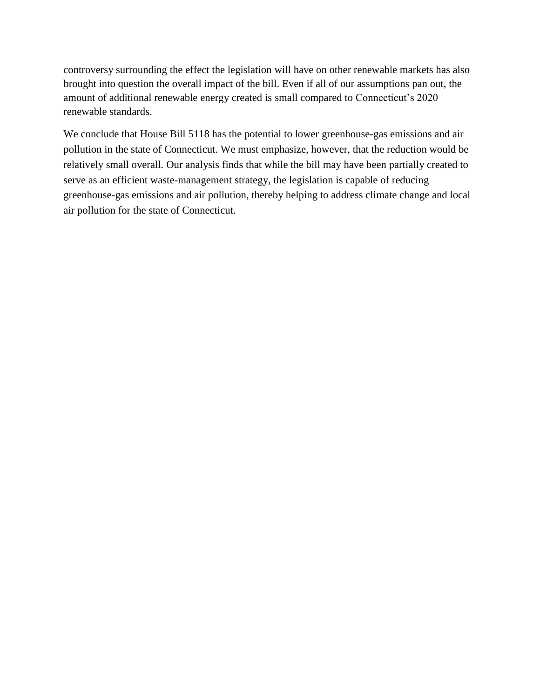controversy surrounding the effect the legislation will have on other renewable markets has also brought into question the overall impact of the bill. Even if all of our assumptions pan out, the amount of additional renewable energy created is small compared to Connecticut's 2020 renewable standards.

We conclude that House Bill 5118 has the potential to lower greenhouse-gas emissions and air pollution in the state of Connecticut. We must emphasize, however, that the reduction would be relatively small overall. Our analysis finds that while the bill may have been partially created to serve as an efficient waste-management strategy, the legislation is capable of reducing greenhouse-gas emissions and air pollution, thereby helping to address climate change and local air pollution for the state of Connecticut.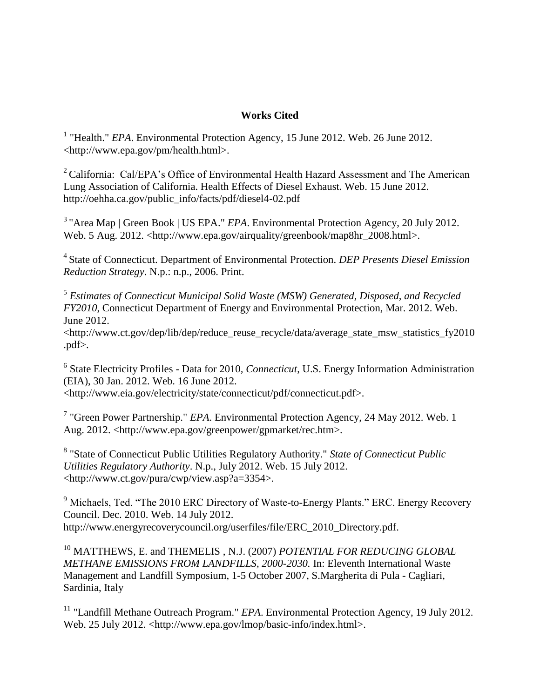## **Works Cited**

<sup>1</sup> "Health." *EPA*. Environmental Protection Agency, 15 June 2012. Web. 26 June 2012. <http://www.epa.gov/pm/health.html>.

<sup>2</sup> California: Cal/EPA's Office of Environmental Health Hazard Assessment and The American Lung Association of California. Health Effects of Diesel Exhaust. Web. 15 June 2012. http://oehha.ca.gov/public\_info/facts/pdf/diesel4-02.pdf

<sup>3</sup> "Area Map | Green Book | US EPA." *EPA*. Environmental Protection Agency, 20 July 2012. Web. 5 Aug. 2012. <http://www.epa.gov/airquality/greenbook/map8hr\_2008.html>.

<sup>4</sup>State of Connecticut. Department of Environmental Protection. *DEP Presents Diesel Emission Reduction Strategy*. N.p.: n.p., 2006. Print.

5 *Estimates of Connecticut Municipal Solid Waste (MSW) Generated, Disposed, and Recycled FY2010*, Connecticut Department of Energy and Environmental Protection, Mar. 2012. Web. June 2012.

<http://www.ct.gov/dep/lib/dep/reduce\_reuse\_recycle/data/average\_state\_msw\_statistics\_fy2010 .pdf>.

6 State Electricity Profiles - Data for 2010*, Connecticut*, U.S. Energy Information Administration (EIA), 30 Jan. 2012. Web. 16 June 2012. <http://www.eia.gov/electricity/state/connecticut/pdf/connecticut.pdf>.

7 "Green Power Partnership." *EPA*. Environmental Protection Agency, 24 May 2012. Web. 1 Aug. 2012. <http://www.epa.gov/greenpower/gpmarket/rec.htm>.

8 "State of Connecticut Public Utilities Regulatory Authority." *State of Connecticut Public Utilities Regulatory Authority*. N.p., July 2012. Web. 15 July 2012. <http://www.ct.gov/pura/cwp/view.asp?a=3354>.

<sup>9</sup> Michaels, Ted. "The 2010 ERC Directory of Waste-to-Energy Plants." ERC. Energy Recovery Council. Dec. 2010. Web. 14 July 2012. http://www.energyrecoverycouncil.org/userfiles/file/ERC\_2010\_Directory.pdf.

<sup>10</sup> MATTHEWS, E. and THEMELIS , N.J. (2007) *POTENTIAL FOR REDUCING GLOBAL METHANE EMISSIONS FROM LANDFILLS, 2000-2030.* In: Eleventh International Waste Management and Landfill Symposium, 1-5 October 2007, S.Margherita di Pula - Cagliari, Sardinia, Italy

<sup>11</sup> "Landfill Methane Outreach Program." *EPA*. Environmental Protection Agency, 19 July 2012. Web. 25 July 2012. <http://www.epa.gov/lmop/basic-info/index.html>.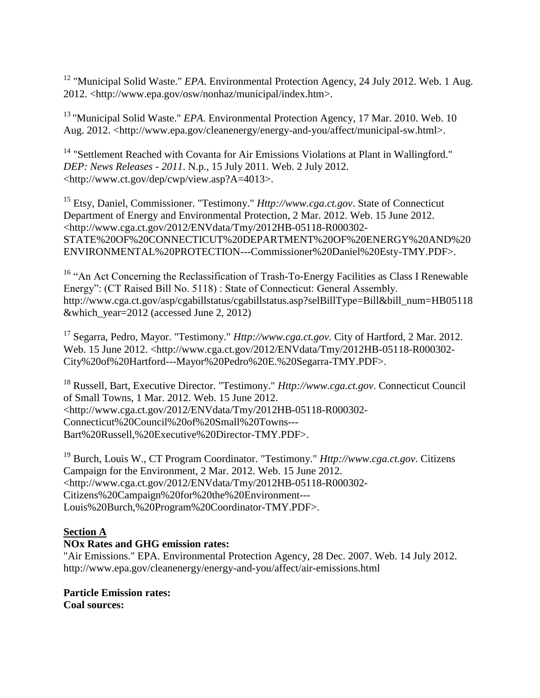<sup>12</sup> "Municipal Solid Waste." *EPA*. Environmental Protection Agency, 24 July 2012. Web. 1 Aug. 2012. <http://www.epa.gov/osw/nonhaz/municipal/index.htm>.

<sup>13</sup> "Municipal Solid Waste." *EPA*. Environmental Protection Agency, 17 Mar. 2010. Web. 10 Aug. 2012. <http://www.epa.gov/cleanenergy/energy-and-you/affect/municipal-sw.html>.

<sup>14</sup> "Settlement Reached with Covanta for Air Emissions Violations at Plant in Wallingford." *DEP: News Releases - 2011*. N.p., 15 July 2011. Web. 2 July 2012. <http://www.ct.gov/dep/cwp/view.asp?A=4013>.

<sup>15</sup> Etsy, Daniel, Commissioner. "Testimony." *Http://www.cga.ct.gov*. State of Connecticut Department of Energy and Environmental Protection, 2 Mar. 2012. Web. 15 June 2012. <http://www.cga.ct.gov/2012/ENVdata/Tmy/2012HB-05118-R000302- STATE%20OF%20CONNECTICUT%20DEPARTMENT%20OF%20ENERGY%20AND%20 ENVIRONMENTAL%20PROTECTION---Commissioner%20Daniel%20Esty-TMY.PDF>.

<sup>16</sup> "An Act Concerning the Reclassification of Trash-To-Energy Facilities as Class I Renewable Energy": (CT Raised Bill No. 5118) : State of Connecticut: General Assembly. http://www.cga.ct.gov/asp/cgabillstatus/cgabillstatus.asp?selBillType=Bill&bill\_num=HB05118 &which\_year=2012 (accessed June 2, 2012)

<sup>17</sup> Segarra, Pedro, Mayor. "Testimony." *Http://www.cga.ct.gov*. City of Hartford, 2 Mar. 2012. Web. 15 June 2012. <http://www.cga.ct.gov/2012/ENVdata/Tmy/2012HB-05118-R000302- City%20of%20Hartford---Mayor%20Pedro%20E.%20Segarra-TMY.PDF>.

<sup>18</sup> Russell, Bart, Executive Director. "Testimony." *Http://www.cga.ct.gov*. Connecticut Council of Small Towns, 1 Mar. 2012. Web. 15 June 2012. <http://www.cga.ct.gov/2012/ENVdata/Tmy/2012HB-05118-R000302- Connecticut%20Council%20of%20Small%20Towns--- Bart%20Russell,%20Executive%20Director-TMY.PDF>.

<sup>19</sup> Burch, Louis W., CT Program Coordinator. "Testimony." *Http://www.cga.ct.gov*. Citizens Campaign for the Environment, 2 Mar. 2012. Web. 15 June 2012. <http://www.cga.ct.gov/2012/ENVdata/Tmy/2012HB-05118-R000302- Citizens%20Campaign%20for%20the%20Environment--- Louis%20Burch,%20Program%20Coordinator-TMY.PDF>.

# **Section A**

# **NOx Rates and GHG emission rates:**

"Air Emissions." EPA. Environmental Protection Agency, 28 Dec. 2007. Web. 14 July 2012. http://www.epa.gov/cleanenergy/energy-and-you/affect/air-emissions.html

#### **Particle Emission rates: Coal sources:**